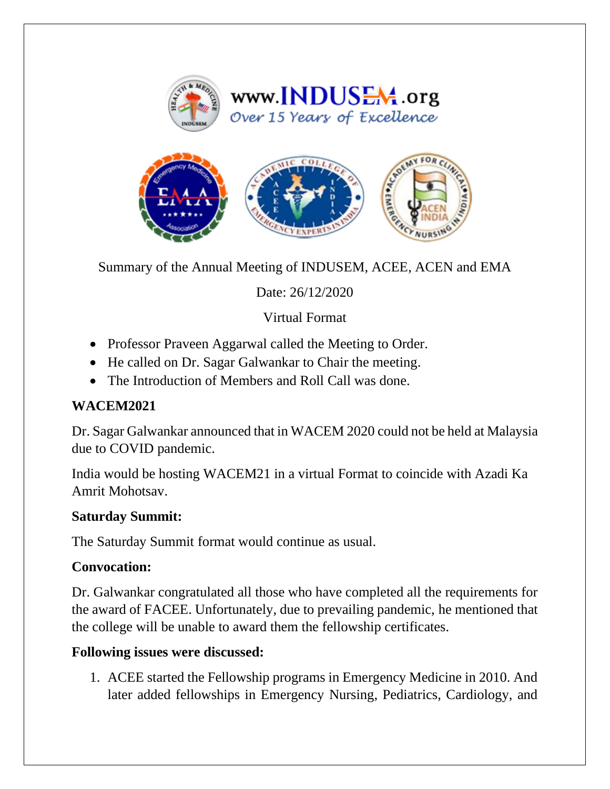



Summary of the Annual Meeting of INDUSEM, ACEE, ACEN and EMA

Date: 26/12/2020

Virtual Format

- Professor Praveen Aggarwal called the Meeting to Order.
- He called on Dr. Sagar Galwankar to Chair the meeting.
- The Introduction of Members and Roll Call was done.

## **WACEM2021**

Dr. Sagar Galwankar announced that in WACEM 2020 could not be held at Malaysia due to COVID pandemic.

India would be hosting WACEM21 in a virtual Format to coincide with Azadi Ka Amrit Mohotsav.

## **Saturday Summit:**

The Saturday Summit format would continue as usual.

## **Convocation:**

Dr. Galwankar congratulated all those who have completed all the requirements for the award of FACEE. Unfortunately, due to prevailing pandemic, he mentioned that the college will be unable to award them the fellowship certificates.

## **Following issues were discussed:**

1. ACEE started the Fellowship programs in Emergency Medicine in 2010. And later added fellowships in Emergency Nursing, Pediatrics, Cardiology, and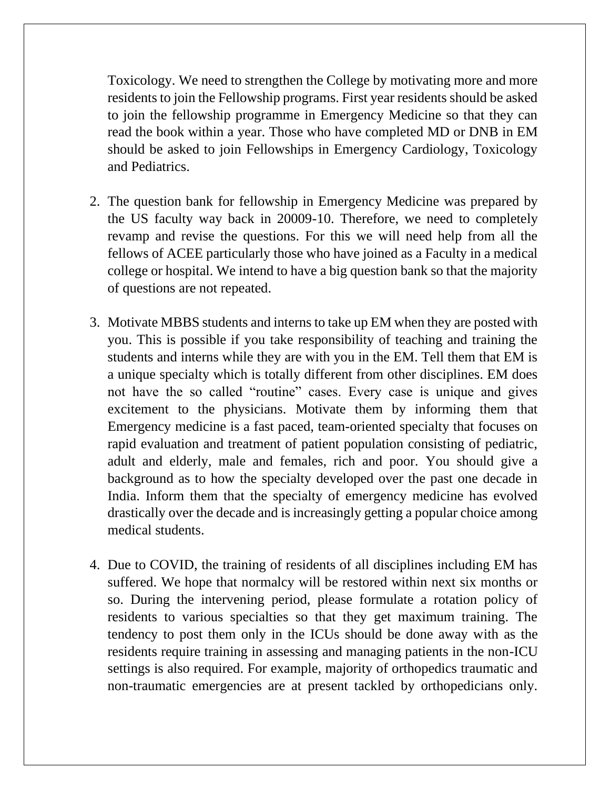Toxicology. We need to strengthen the College by motivating more and more residents to join the Fellowship programs. First year residents should be asked to join the fellowship programme in Emergency Medicine so that they can read the book within a year. Those who have completed MD or DNB in EM should be asked to join Fellowships in Emergency Cardiology, Toxicology and Pediatrics.

- 2. The question bank for fellowship in Emergency Medicine was prepared by the US faculty way back in 20009-10. Therefore, we need to completely revamp and revise the questions. For this we will need help from all the fellows of ACEE particularly those who have joined as a Faculty in a medical college or hospital. We intend to have a big question bank so that the majority of questions are not repeated.
- 3. Motivate MBBS students and interns to take up EM when they are posted with you. This is possible if you take responsibility of teaching and training the students and interns while they are with you in the EM. Tell them that EM is a unique specialty which is totally different from other disciplines. EM does not have the so called "routine" cases. Every case is unique and gives excitement to the physicians. Motivate them by informing them that Emergency medicine is a fast paced, team-oriented specialty that focuses on rapid evaluation and treatment of patient population consisting of pediatric, adult and elderly, male and females, rich and poor. You should give a background as to how the specialty developed over the past one decade in India. Inform them that the specialty of emergency medicine has evolved drastically over the decade and is increasingly getting a popular choice among medical students.
- 4. Due to COVID, the training of residents of all disciplines including EM has suffered. We hope that normalcy will be restored within next six months or so. During the intervening period, please formulate a rotation policy of residents to various specialties so that they get maximum training. The tendency to post them only in the ICUs should be done away with as the residents require training in assessing and managing patients in the non-ICU settings is also required. For example, majority of orthopedics traumatic and non-traumatic emergencies are at present tackled by orthopedicians only.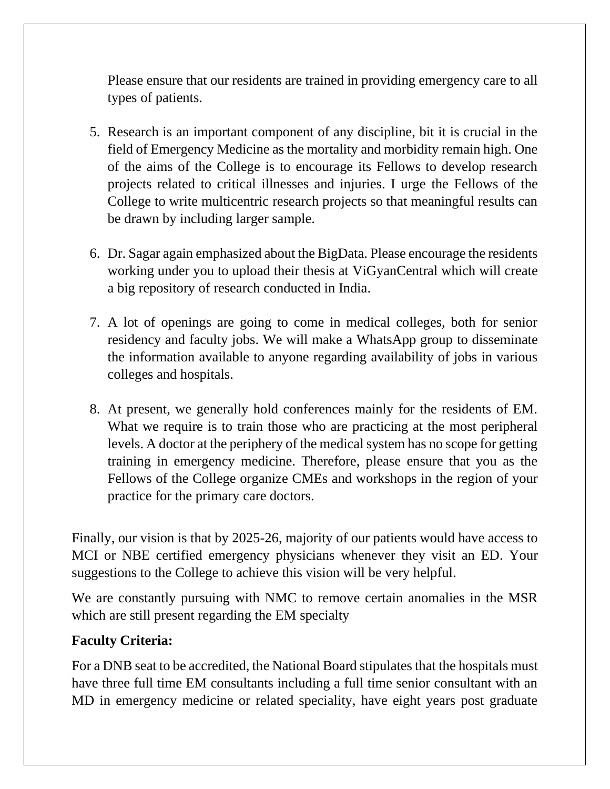Please ensure that our residents are trained in providing emergency care to all types of patients.

- 5. Research is an important component of any discipline, bit it is crucial in the field of Emergency Medicine as the mortality and morbidity remain high. One of the aims of the College is to encourage its Fellows to develop research projects related to critical illnesses and injuries. I urge the Fellows of the College to write multicentric research projects so that meaningful results can be drawn by including larger sample.
- 6. Dr. Sagar again emphasized about the BigData. Please encourage the residents working under you to upload their thesis at ViGyanCentral which will create a big repository of research conducted in India.
- 7. A lot of openings are going to come in medical colleges, both for senior residency and faculty jobs. We will make a WhatsApp group to disseminate the information available to anyone regarding availability of jobs in various colleges and hospitals.
- 8. At present, we generally hold conferences mainly for the residents of EM. What we require is to train those who are practicing at the most peripheral levels. A doctor at the periphery of the medical system has no scope for getting training in emergency medicine. Therefore, please ensure that you as the Fellows of the College organize CMEs and workshops in the region of your practice for the primary care doctors.

Finally, our vision is that by 2025-26, majority of our patients would have access to MCI or NBE certified emergency physicians whenever they visit an ED. Your suggestions to the College to achieve this vision will be very helpful.

We are constantly pursuing with NMC to remove certain anomalies in the MSR which are still present regarding the EM specialty

# **Faculty Criteria:**

For a DNB seat to be accredited, the National Board stipulates that the hospitals must have three full time EM consultants including a full time senior consultant with an MD in emergency medicine or related speciality, have eight years post graduate